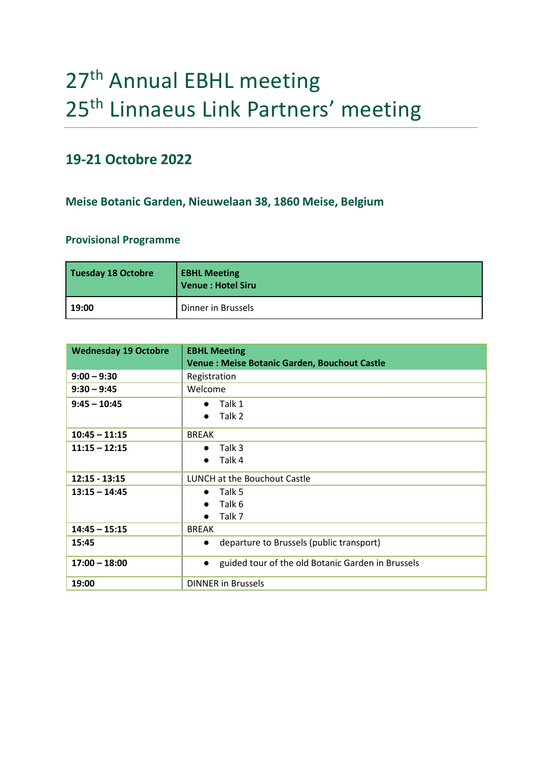## 27<sup>th</sup> Annual EBHL meeting 25<sup>th</sup> Linnaeus Link Partners' meeting

## **19-21 Octobre 2022**

## **Meise Botanic Garden, Nieuwelaan 38, 1860 Meise, Belgium**

## **Provisional Programme**

| Tuesday 18 Octobre | <b>EBHL Meeting</b><br>Venue : Hotel Siru |
|--------------------|-------------------------------------------|
| 19:00              | Dinner in Brussels                        |

| <b>Wednesday 19 Octobre</b> | <b>EBHL Meeting</b>                                            |
|-----------------------------|----------------------------------------------------------------|
|                             | <b>Venue: Meise Botanic Garden, Bouchout Castle</b>            |
| $9:00 - 9:30$               | Registration                                                   |
| $9:30 - 9:45$               | Welcome                                                        |
| $9:45 - 10:45$              | $\bullet$ Talk 1                                               |
|                             | Talk 2<br>$\bullet$                                            |
| $10:45 - 11:15$             | <b>BREAK</b>                                                   |
| $11:15 - 12:15$             | Talk 3<br>$\bullet$                                            |
|                             | Talk 4<br>$\bullet$                                            |
| $12:15 - 13:15$             | LUNCH at the Bouchout Castle                                   |
| $13:15 - 14:45$             | $\bullet$ Talk 5                                               |
|                             | Talk 6<br>$\bullet$                                            |
|                             | Talk 7<br>$\bullet$                                            |
| $14:45 - 15:15$             | <b>BREAK</b>                                                   |
| 15:45                       | departure to Brussels (public transport)<br>$\bullet$          |
| $17:00 - 18:00$             | guided tour of the old Botanic Garden in Brussels<br>$\bullet$ |
| 19:00                       | <b>DINNER in Brussels</b>                                      |